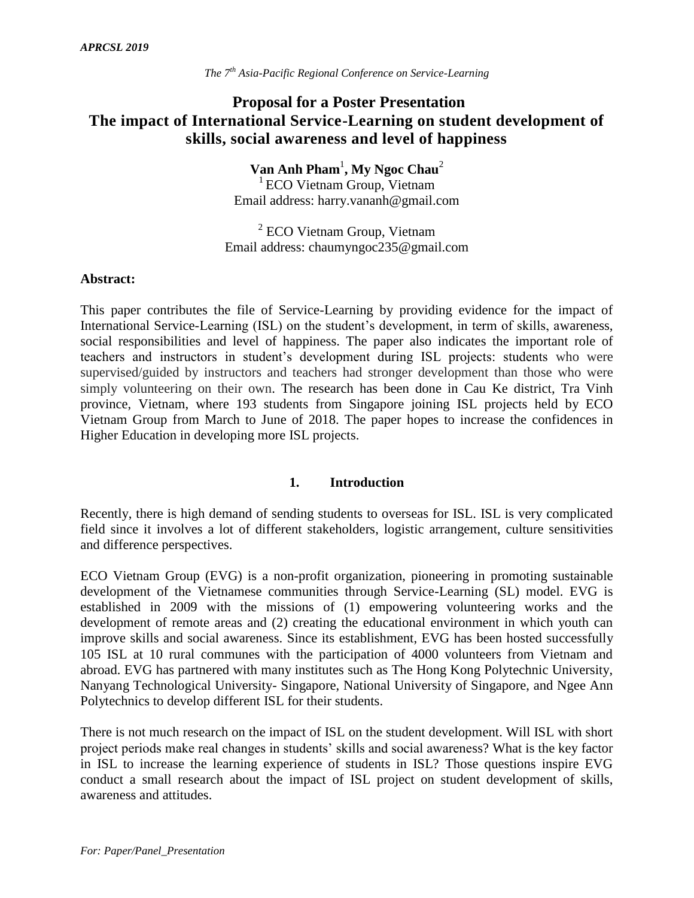# **Proposal for a Poster Presentation The impact of International Service-Learning on student development of skills, social awareness and level of happiness**

**Van Anh Pham**<sup>1</sup> **, My Ngoc Chau**<sup>2</sup> <sup>1</sup> ECO Vietnam Group, Vietnam

Email address: harry.vananh@gmail.com

<sup>2</sup> ECO Vietnam Group, Vietnam Email address: chaumyngoc235@gmail.com

### **Abstract:**

This paper contributes the file of Service-Learning by providing evidence for the impact of International Service-Learning (ISL) on the student's development, in term of skills, awareness, social responsibilities and level of happiness. The paper also indicates the important role of teachers and instructors in student's development during ISL projects: students who were supervised/guided by instructors and teachers had stronger development than those who were simply volunteering on their own. The research has been done in Cau Ke district, Tra Vinh province, Vietnam, where 193 students from Singapore joining ISL projects held by ECO Vietnam Group from March to June of 2018. The paper hopes to increase the confidences in Higher Education in developing more ISL projects.

#### **1. Introduction**

Recently, there is high demand of sending students to overseas for ISL. ISL is very complicated field since it involves a lot of different stakeholders, logistic arrangement, culture sensitivities and difference perspectives.

ECO Vietnam Group (EVG) is a non-profit organization, pioneering in promoting sustainable development of the Vietnamese communities through Service-Learning (SL) model. EVG is established in 2009 with the missions of (1) empowering volunteering works and the development of remote areas and (2) creating the educational environment in which youth can improve skills and social awareness. Since its establishment, EVG has been hosted successfully 105 ISL at 10 rural communes with the participation of 4000 volunteers from Vietnam and abroad. EVG has partnered with many institutes such as The Hong Kong Polytechnic University, Nanyang Technological University- Singapore, National University of Singapore, and Ngee Ann Polytechnics to develop different ISL for their students.

There is not much research on the impact of ISL on the student development. Will ISL with short project periods make real changes in students' skills and social awareness? What is the key factor in ISL to increase the learning experience of students in ISL? Those questions inspire EVG conduct a small research about the impact of ISL project on student development of skills, awareness and attitudes.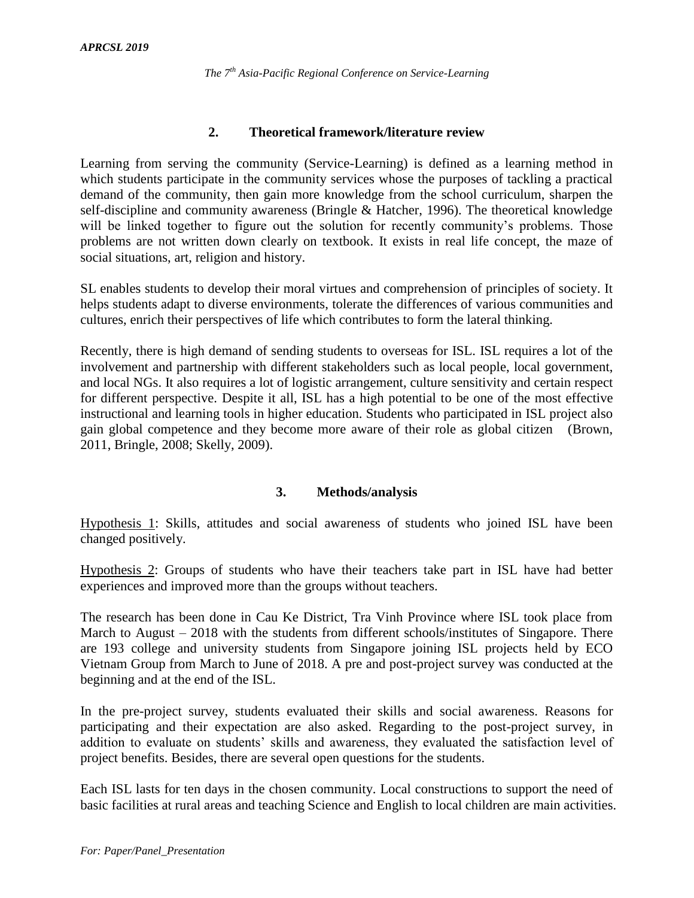## **2. Theoretical framework/literature review**

Learning from serving the community (Service-Learning) is defined as a learning method in which students participate in the community services whose the purposes of tackling a practical demand of the community, then gain more knowledge from the school curriculum, sharpen the self-discipline and community awareness (Bringle & Hatcher, 1996). The theoretical knowledge will be linked together to figure out the solution for recently community's problems. Those problems are not written down clearly on textbook. It exists in real life concept, the maze of social situations, art, religion and history.

SL enables students to develop their moral virtues and comprehension of principles of society. It helps students adapt to diverse environments, tolerate the differences of various communities and cultures, enrich their perspectives of life which contributes to form the lateral thinking.

Recently, there is high demand of sending students to overseas for ISL. ISL requires a lot of the involvement and partnership with different stakeholders such as local people, local government, and local NGs. It also requires a lot of logistic arrangement, culture sensitivity and certain respect for different perspective. Despite it all, ISL has a high potential to be one of the most effective instructional and learning tools in higher education. Students who participated in ISL project also gain global competence and they become more aware of their role as global citizen (Brown, 2011, Bringle, 2008; Skelly, 2009).

# **3. Methods/analysis**

Hypothesis 1: Skills, attitudes and social awareness of students who joined ISL have been changed positively.

Hypothesis 2: Groups of students who have their teachers take part in ISL have had better experiences and improved more than the groups without teachers.

The research has been done in Cau Ke District, Tra Vinh Province where ISL took place from March to August – 2018 with the students from different schools/institutes of Singapore. There are 193 college and university students from Singapore joining ISL projects held by ECO Vietnam Group from March to June of 2018. A pre and post-project survey was conducted at the beginning and at the end of the ISL.

In the pre-project survey, students evaluated their skills and social awareness. Reasons for participating and their expectation are also asked. Regarding to the post-project survey, in addition to evaluate on students' skills and awareness, they evaluated the satisfaction level of project benefits. Besides, there are several open questions for the students.

Each ISL lasts for ten days in the chosen community. Local constructions to support the need of basic facilities at rural areas and teaching Science and English to local children are main activities.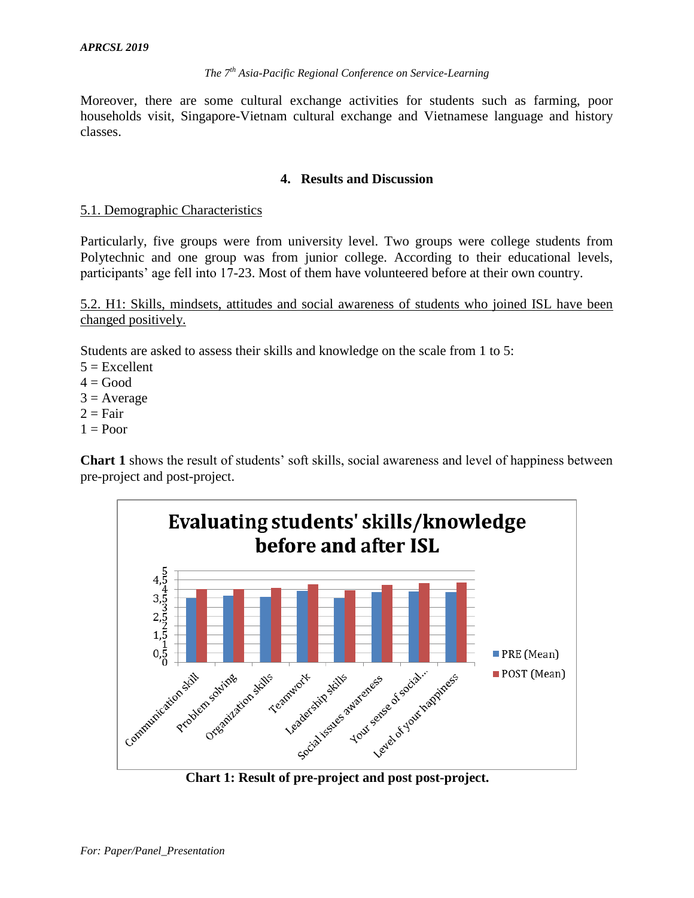Moreover, there are some cultural exchange activities for students such as farming, poor households visit, Singapore-Vietnam cultural exchange and Vietnamese language and history classes.

### **4. Results and Discussion**

### 5.1. Demographic Characteristics

Particularly, five groups were from university level. Two groups were college students from Polytechnic and one group was from junior college. According to their educational levels, participants' age fell into 17-23. Most of them have volunteered before at their own country.

5.2. H1: Skills, mindsets, attitudes and social awareness of students who joined ISL have been changed positively.

Students are asked to assess their skills and knowledge on the scale from 1 to 5:

 $5 =$ Excellent

 $4 = Good$ 

 $3 = Average$ 

 $2 = \text{Fair}$ 

 $1 =$ Poor

**Chart 1** shows the result of students' soft skills, social awareness and level of happiness between pre-project and post-project.



**Chart 1: Result of pre-project and post post-project.**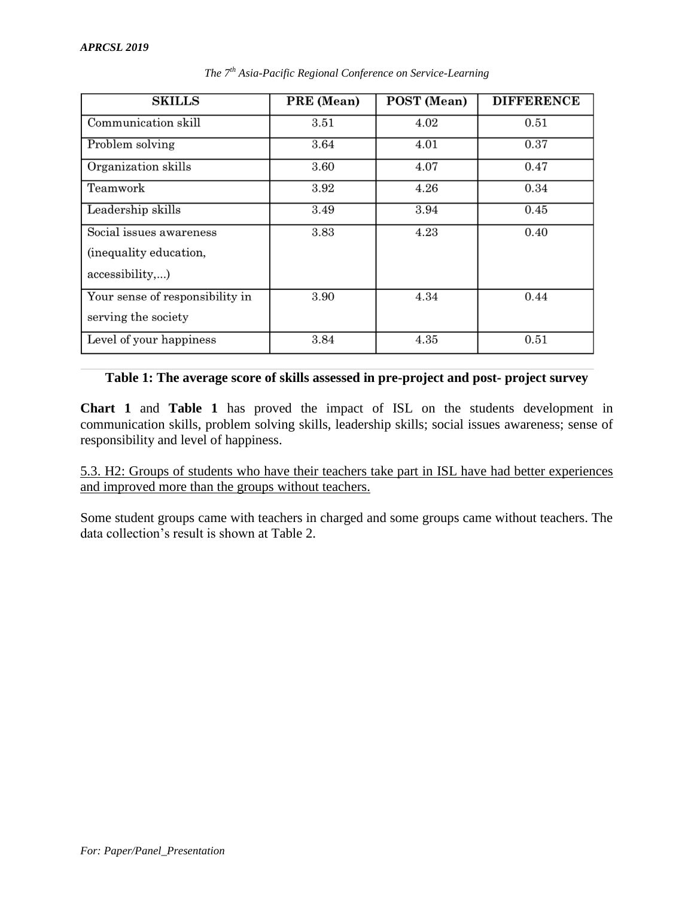| <b>SKILLS</b>                                                        | PRE (Mean) | POST (Mean) | <b>DIFFERENCE</b> |
|----------------------------------------------------------------------|------------|-------------|-------------------|
| Communication skill                                                  | 3.51       | 4.02        | 0.51              |
| Problem solving                                                      | 3.64       | 4.01        | 0.37              |
| Organization skills                                                  | 3.60       | 4.07        | 0.47              |
| Teamwork                                                             | 3.92       | 4.26        | 0.34              |
| Leadership skills                                                    | 3.49       | 3.94        | 0.45              |
| Social issues awareness<br>(inequality education,<br>accessibility,) | 3.83       | 4.23        | 0.40              |
| Your sense of responsibility in<br>serving the society               | 3.90       | 4.34        | 0.44              |
| Level of your happiness                                              | 3.84       | 4.35        | 0.51              |

*The 7th Asia-Pacific Regional Conference on Service-Learning*

### **Table 1: The average score of skills assessed in pre-project and post- project survey**

**Chart 1** and **Table 1** has proved the impact of ISL on the students development in communication skills, problem solving skills, leadership skills; social issues awareness; sense of responsibility and level of happiness.

5.3. H2: Groups of students who have their teachers take part in ISL have had better experiences and improved more than the groups without teachers.

Some student groups came with teachers in charged and some groups came without teachers. The data collection's result is shown at Table 2.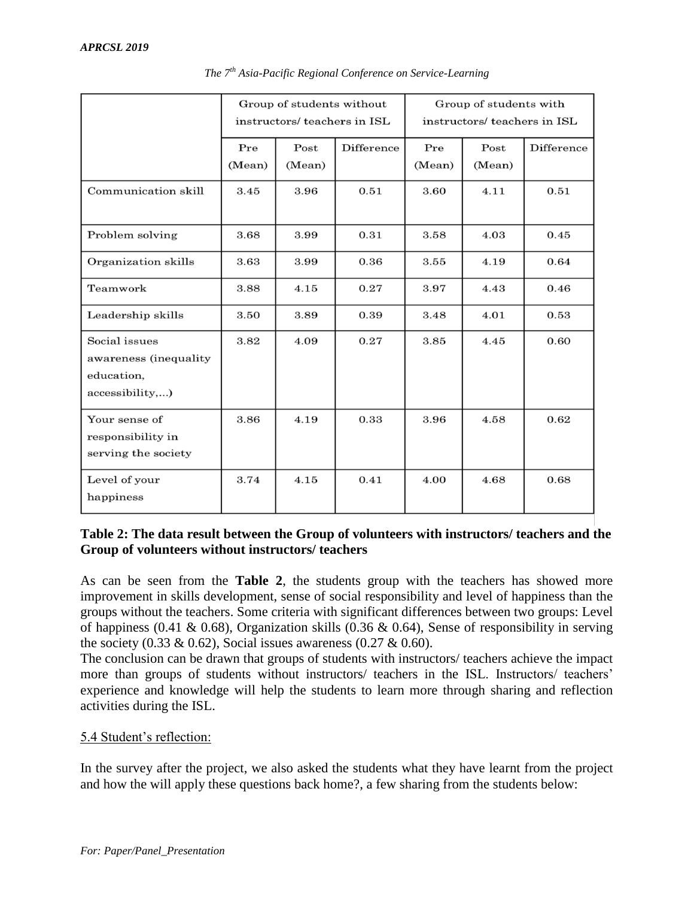|                                                                         | Group of students without<br>instructors/ teachers in ISL |                |            | Group of students with<br>instructors/ teachers in ISL |                |            |
|-------------------------------------------------------------------------|-----------------------------------------------------------|----------------|------------|--------------------------------------------------------|----------------|------------|
|                                                                         | Pre<br>(Mean)                                             | Post<br>(Mean) | Difference | Pre<br>(Mean)                                          | Post<br>(Mean) | Difference |
| Communication skill                                                     | 3.45                                                      | 3.96           | 0.51       | 3.60                                                   | 4.11           | 0.51       |
| Problem solving                                                         | 3.68                                                      | 3.99           | 0.31       | 3.58                                                   | 4.03           | 0.45       |
| Organization skills                                                     | 3.63                                                      | 3.99           | 0.36       | 3.55                                                   | 4.19           | 0.64       |
| Teamwork                                                                | 3.88                                                      | 4.15           | 0.27       | 3.97                                                   | 4.43           | 0.46       |
| Leadership skills                                                       | 3.50                                                      | 3.89           | 0.39       | 3.48                                                   | 4.01           | 0.53       |
| Social issues<br>awareness (inequality<br>education,<br>accessibility,) | 3.82                                                      | 4.09           | 0.27       | 3.85                                                   | 4.45           | 0.60       |
| Your sense of<br>responsibility in<br>serving the society               | 3.86                                                      | 4.19           | 0.33       | 3.96                                                   | 4.58           | 0.62       |
| Level of your<br>happiness                                              | 3.74                                                      | 4.15           | 0.41       | 4.00                                                   | 4.68           | 0.68       |

*The 7th Asia-Pacific Regional Conference on Service-Learning*

# **Table 2: The data result between the Group of volunteers with instructors/ teachers and the Group of volunteers without instructors/ teachers**

As can be seen from the **Table 2**, the students group with the teachers has showed more improvement in skills development, sense of social responsibility and level of happiness than the groups without the teachers. Some criteria with significant differences between two groups: Level of happiness (0.41 & 0.68), Organization skills (0.36 & 0.64), Sense of responsibility in serving the society (0.33 & 0.62), Social issues awareness (0.27 & 0.60).

The conclusion can be drawn that groups of students with instructors/ teachers achieve the impact more than groups of students without instructors/ teachers in the ISL. Instructors/ teachers' experience and knowledge will help the students to learn more through sharing and reflection activities during the ISL.

# 5.4 Student's reflection:

In the survey after the project, we also asked the students what they have learnt from the project and how the will apply these questions back home?, a few sharing from the students below: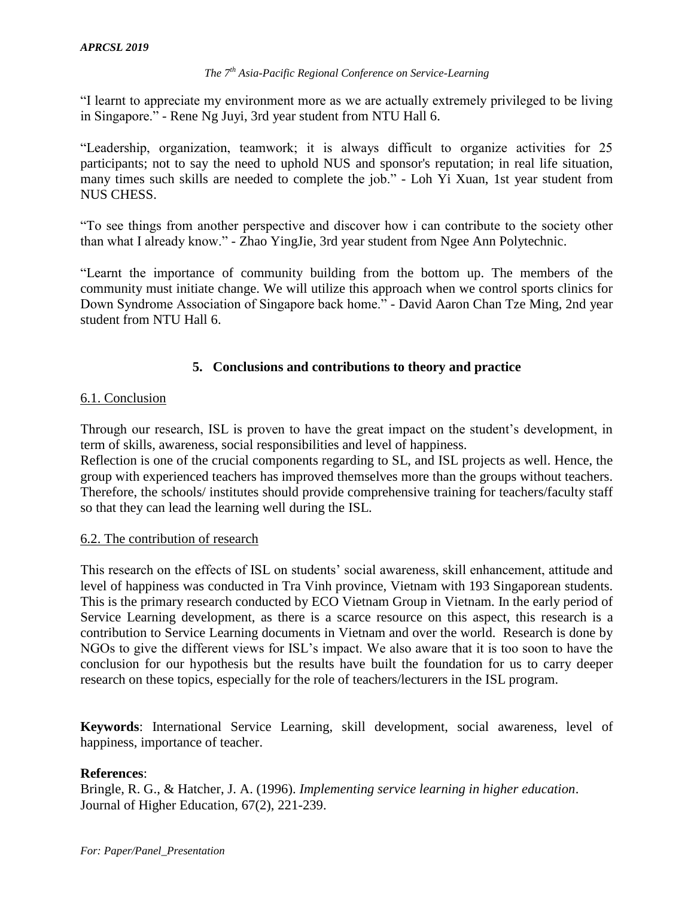"I learnt to appreciate my environment more as we are actually extremely privileged to be living in Singapore." - Rene Ng Juyi, 3rd year student from NTU Hall 6.

"Leadership, organization, teamwork; it is always difficult to organize activities for 25 participants; not to say the need to uphold NUS and sponsor's reputation; in real life situation, many times such skills are needed to complete the job." - Loh Yi Xuan, 1st year student from NUS CHESS.

"To see things from another perspective and discover how i can contribute to the society other than what I already know." - Zhao YingJie, 3rd year student from Ngee Ann Polytechnic.

"Learnt the importance of community building from the bottom up. The members of the community must initiate change. We will utilize this approach when we control sports clinics for Down Syndrome Association of Singapore back home." - David Aaron Chan Tze Ming, 2nd year student from NTU Hall 6.

## **5. Conclusions and contributions to theory and practice**

### 6.1. Conclusion

Through our research, ISL is proven to have the great impact on the student's development, in term of skills, awareness, social responsibilities and level of happiness.

Reflection is one of the crucial components regarding to SL, and ISL projects as well. Hence, the group with experienced teachers has improved themselves more than the groups without teachers. Therefore, the schools/ institutes should provide comprehensive training for teachers/faculty staff so that they can lead the learning well during the ISL.

### 6.2. The contribution of research

This research on the effects of ISL on students' social awareness, skill enhancement, attitude and level of happiness was conducted in Tra Vinh province, Vietnam with 193 Singaporean students. This is the primary research conducted by ECO Vietnam Group in Vietnam. In the early period of Service Learning development, as there is a scarce resource on this aspect, this research is a contribution to Service Learning documents in Vietnam and over the world. Research is done by NGOs to give the different views for ISL's impact. We also aware that it is too soon to have the conclusion for our hypothesis but the results have built the foundation for us to carry deeper research on these topics, especially for the role of teachers/lecturers in the ISL program.

**Keywords**: International Service Learning, skill development, social awareness, level of happiness, importance of teacher.

### **References**:

Bringle, R. G., & Hatcher, J. A. (1996). *Implementing service learning in higher education*. Journal of Higher Education, 67(2), 221-239.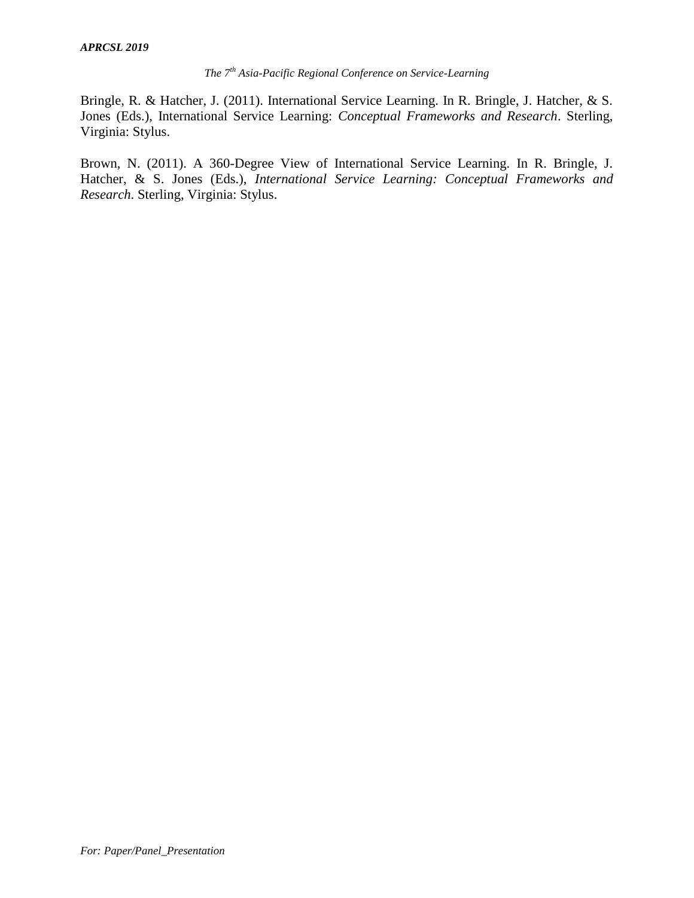Bringle, R. & Hatcher, J. (2011). International Service Learning. In R. Bringle, J. Hatcher, & S. Jones (Eds.), International Service Learning: *Conceptual Frameworks and Research*. Sterling, Virginia: Stylus.

Brown, N. (2011). A 360-Degree View of International Service Learning. In R. Bringle, J. Hatcher, & S. Jones (Eds.), *International Service Learning: Conceptual Frameworks and Research*. Sterling, Virginia: Stylus.